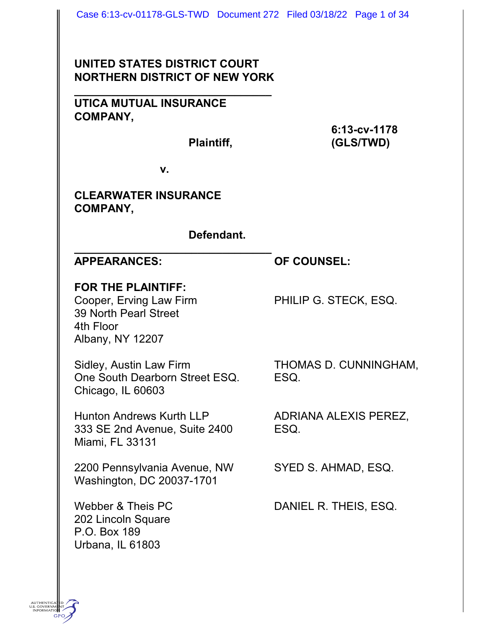# **UNITED STATES DISTRICT COURT NORTHERN DISTRICT OF NEW YORK**

**\_\_\_\_\_\_\_\_\_\_\_\_\_\_\_\_\_\_\_\_\_\_\_\_\_\_\_\_\_\_\_\_**

**UTICA MUTUAL INSURANCE COMPANY,**

**6:13-cv-1178 Plaintiff, (GLS/TWD)**

**v.**

**\_\_\_\_\_\_\_\_\_\_\_\_\_\_\_\_\_\_\_\_\_\_\_\_\_\_\_\_\_\_\_\_**

## **CLEARWATER INSURANCE COMPANY,**

## **Defendant.**

**APPEARANCES: OF COUNSEL:**

## **FOR THE PLAINTIFF:**

Cooper, Erving Law Firm PHILIP G. STECK, ESQ. 39 North Pearl Street 4th Floor Albany, NY 12207

Sidley, Austin Law Firm THOMAS D. CUNNINGHAM, One South Dearborn Street ESQ. ESQ. Chicago, IL 60603

Hunton Andrews Kurth LLP ADRIANA ALEXIS PEREZ, 333 SE 2nd Avenue, Suite 2400 ESQ. Miami, FL 33131

2200 Pennsylvania Avenue, NW SYED S. AHMAD, ESQ. Washington, DC 20037-1701

202 Lincoln Square P.O. Box 189 Urbana, IL 61803

Webber & Theis PC DANIEL R. THEIS, ESQ.

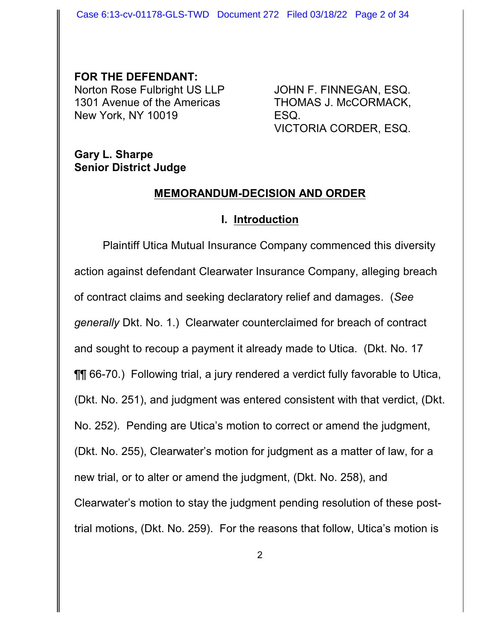Case 6:13-cv-01178-GLS-TWD Document 272 Filed 03/18/22 Page 2 of 34

**FOR THE DEFENDANT:** Norton Rose Fulbright US LLP JOHN F. FINNEGAN, ESQ. 1301 Avenue of the Americas THOMAS J. McCORMACK, New York, NY 10019 **ESQ.** 

VICTORIA CORDER, ESQ.

## **Gary L. Sharpe Senior District Judge**

#### **MEMORANDUM-DECISION AND ORDER**

#### **I. Introduction**

Plaintiff Utica Mutual Insurance Company commenced this diversity action against defendant Clearwater Insurance Company, alleging breach of contract claims and seeking declaratory relief and damages. (*See generally* Dkt. No. 1.) Clearwater counterclaimed for breach of contract and sought to recoup a payment it already made to Utica. (Dkt. No. 17 ¶¶ 66-70.) Following trial, a jury rendered a verdict fully favorable to Utica, (Dkt. No. 251), and judgment was entered consistent with that verdict, (Dkt. No. 252). Pending are Utica's motion to correct or amend the judgment, (Dkt. No. 255), Clearwater's motion for judgment as a matter of law, for a new trial, or to alter or amend the judgment, (Dkt. No. 258), and Clearwater's motion to stay the judgment pending resolution of these posttrial motions, (Dkt. No. 259). For the reasons that follow, Utica's motion is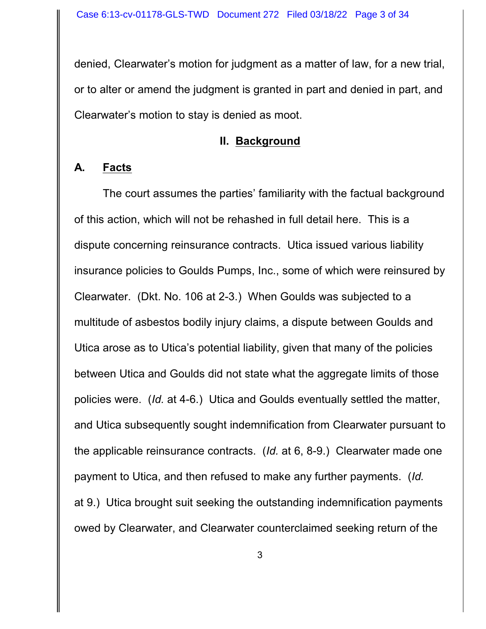denied, Clearwater's motion for judgment as a matter of law, for a new trial, or to alter or amend the judgment is granted in part and denied in part, and Clearwater's motion to stay is denied as moot.

## **II. Background**

## **A. Facts**

The court assumes the parties' familiarity with the factual background of this action, which will not be rehashed in full detail here. This is a dispute concerning reinsurance contracts. Utica issued various liability insurance policies to Goulds Pumps, Inc., some of which were reinsured by Clearwater. (Dkt. No. 106 at 2-3.) When Goulds was subjected to a multitude of asbestos bodily injury claims, a dispute between Goulds and Utica arose as to Utica's potential liability, given that many of the policies between Utica and Goulds did not state what the aggregate limits of those policies were. (*Id.* at 4-6.) Utica and Goulds eventually settled the matter, and Utica subsequently sought indemnification from Clearwater pursuant to the applicable reinsurance contracts. (*Id.* at 6, 8-9.) Clearwater made one payment to Utica, and then refused to make any further payments. (*Id.* at 9.) Utica brought suit seeking the outstanding indemnification payments owed by Clearwater, and Clearwater counterclaimed seeking return of the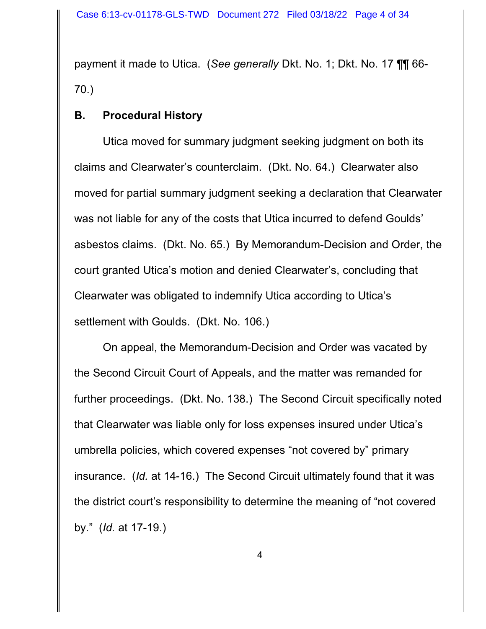payment it made to Utica. (*See generally* Dkt. No. 1; Dkt. No. 17 ¶¶ 66- 70.)

## **B. Procedural History**

Utica moved for summary judgment seeking judgment on both its claims and Clearwater's counterclaim. (Dkt. No. 64.) Clearwater also moved for partial summary judgment seeking a declaration that Clearwater was not liable for any of the costs that Utica incurred to defend Goulds' asbestos claims. (Dkt. No. 65.) By Memorandum-Decision and Order, the court granted Utica's motion and denied Clearwater's, concluding that Clearwater was obligated to indemnify Utica according to Utica's settlement with Goulds. (Dkt. No. 106.)

On appeal, the Memorandum-Decision and Order was vacated by the Second Circuit Court of Appeals, and the matter was remanded for further proceedings. (Dkt. No. 138.) The Second Circuit specifically noted that Clearwater was liable only for loss expenses insured under Utica's umbrella policies, which covered expenses "not covered by" primary insurance. (*Id.* at 14-16.) The Second Circuit ultimately found that it was the district court's responsibility to determine the meaning of "not covered by." (*Id.* at 17-19.)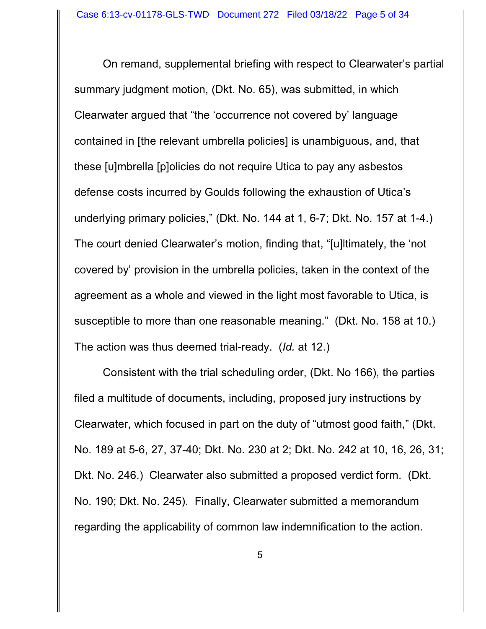On remand, supplemental briefing with respect to Clearwater's partial summary judgment motion, (Dkt. No. 65), was submitted, in which Clearwater argued that "the 'occurrence not covered by' language contained in [the relevant umbrella policies] is unambiguous, and, that these [u]mbrella [p]olicies do not require Utica to pay any asbestos defense costs incurred by Goulds following the exhaustion of Utica's underlying primary policies," (Dkt. No. 144 at 1, 6-7; Dkt. No. 157 at 1-4.) The court denied Clearwater's motion, finding that, "[u]ltimately, the 'not covered by' provision in the umbrella policies, taken in the context of the agreement as a whole and viewed in the light most favorable to Utica, is susceptible to more than one reasonable meaning." (Dkt. No. 158 at 10.) The action was thus deemed trial-ready. (*Id.* at 12.)

Consistent with the trial scheduling order, (Dkt. No 166), the parties filed a multitude of documents, including, proposed jury instructions by Clearwater, which focused in part on the duty of "utmost good faith," (Dkt. No. 189 at 5-6, 27, 37-40; Dkt. No. 230 at 2; Dkt. No. 242 at 10, 16, 26, 31; Dkt. No. 246.) Clearwater also submitted a proposed verdict form. (Dkt. No. 190; Dkt. No. 245). Finally, Clearwater submitted a memorandum regarding the applicability of common law indemnification to the action.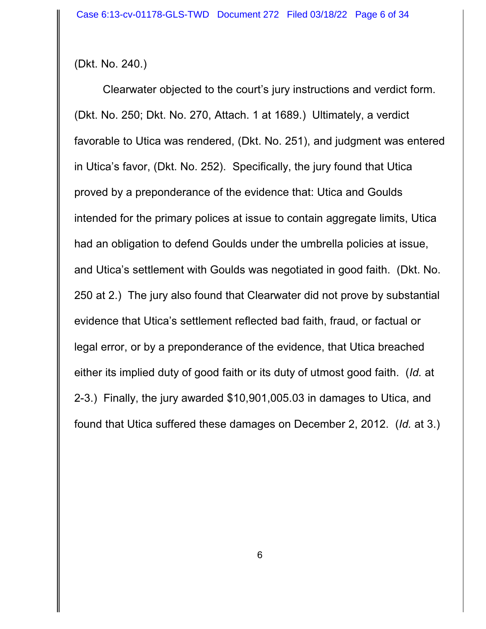(Dkt. No. 240.)

Clearwater objected to the court's jury instructions and verdict form. (Dkt. No. 250; Dkt. No. 270, Attach. 1 at 1689.) Ultimately, a verdict favorable to Utica was rendered, (Dkt. No. 251), and judgment was entered in Utica's favor, (Dkt. No. 252). Specifically, the jury found that Utica proved by a preponderance of the evidence that: Utica and Goulds intended for the primary polices at issue to contain aggregate limits, Utica had an obligation to defend Goulds under the umbrella policies at issue, and Utica's settlement with Goulds was negotiated in good faith. (Dkt. No. 250 at 2.) The jury also found that Clearwater did not prove by substantial evidence that Utica's settlement reflected bad faith, fraud, or factual or legal error, or by a preponderance of the evidence, that Utica breached either its implied duty of good faith or its duty of utmost good faith. (*Id.* at 2-3.) Finally, the jury awarded \$10,901,005.03 in damages to Utica, and found that Utica suffered these damages on December 2, 2012. (*Id.* at 3.)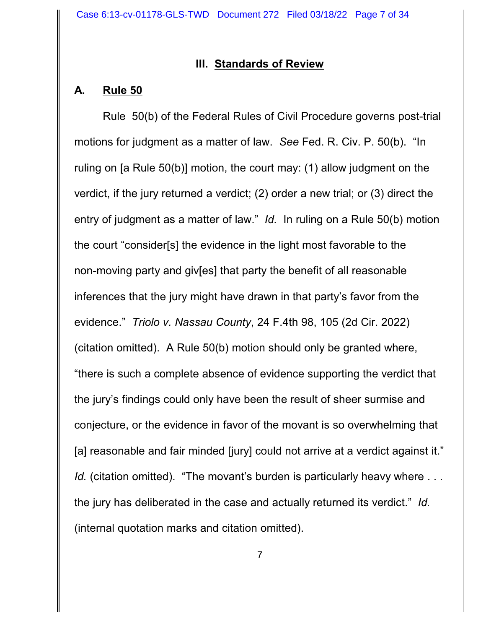#### **III. Standards of Review**

## **A. Rule 50**

Rule 50(b) of the Federal Rules of Civil Procedure governs post-trial motions for judgment as a matter of law. *See* Fed. R. Civ. P. 50(b). "In ruling on [a Rule 50(b)] motion, the court may: (1) allow judgment on the verdict, if the jury returned a verdict; (2) order a new trial; or (3) direct the entry of judgment as a matter of law." *Id.* In ruling on a Rule 50(b) motion the court "consider[s] the evidence in the light most favorable to the non-moving party and giv[es] that party the benefit of all reasonable inferences that the jury might have drawn in that party's favor from the evidence." *Triolo v. Nassau County*, 24 F.4th 98, 105 (2d Cir. 2022) (citation omitted). A Rule 50(b) motion should only be granted where, "there is such a complete absence of evidence supporting the verdict that the jury's findings could only have been the result of sheer surmise and conjecture, or the evidence in favor of the movant is so overwhelming that [a] reasonable and fair minded [jury] could not arrive at a verdict against it." *Id.* (citation omitted). "The movant's burden is particularly heavy where ... the jury has deliberated in the case and actually returned its verdict." *Id.* (internal quotation marks and citation omitted).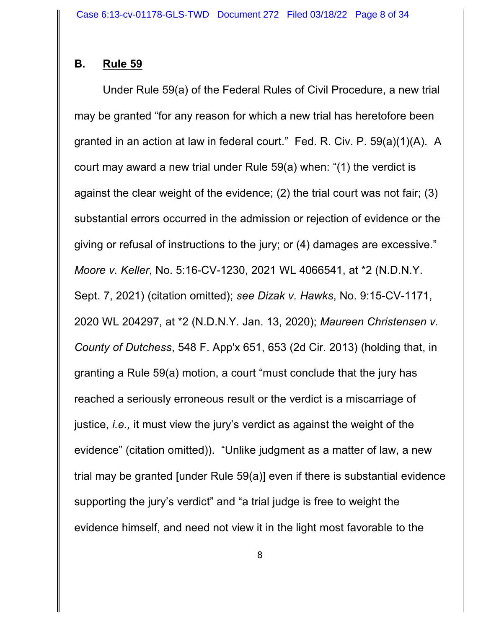## **B. Rule 59**

Under Rule 59(a) of the Federal Rules of Civil Procedure, a new trial may be granted "for any reason for which a new trial has heretofore been granted in an action at law in federal court." Fed. R. Civ. P. 59(a)(1)(A). A court may award a new trial under Rule 59(a) when: "(1) the verdict is against the clear weight of the evidence; (2) the trial court was not fair; (3) substantial errors occurred in the admission or rejection of evidence or the giving or refusal of instructions to the jury; or (4) damages are excessive." *Moore v. Keller*, No. 5:16-CV-1230, 2021 WL 4066541, at \*2 (N.D.N.Y. Sept. 7, 2021) (citation omitted); *see Dizak v. Hawks*, No. 9:15-CV-1171, 2020 WL 204297, at \*2 (N.D.N.Y. Jan. 13, 2020); *Maureen Christensen v. County of Dutchess*, 548 F. App'x 651, 653 (2d Cir. 2013) (holding that, in granting a Rule 59(a) motion, a court "must conclude that the jury has reached a seriously erroneous result or the verdict is a miscarriage of justice, *i.e.,* it must view the jury's verdict as against the weight of the evidence" (citation omitted)). "Unlike judgment as a matter of law, a new trial may be granted [under Rule 59(a)] even if there is substantial evidence supporting the jury's verdict" and "a trial judge is free to weight the evidence himself, and need not view it in the light most favorable to the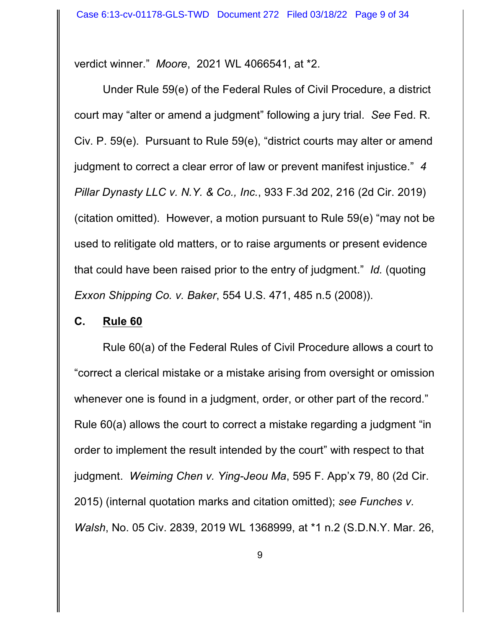verdict winner." *Moore*, 2021 WL 4066541, at \*2.

Under Rule 59(e) of the Federal Rules of Civil Procedure, a district court may "alter or amend a judgment" following a jury trial. *See* Fed. R. Civ. P. 59(e). Pursuant to Rule 59(e), "district courts may alter or amend judgment to correct a clear error of law or prevent manifest injustice." *4 Pillar Dynasty LLC v. N.Y. & Co., Inc.*, 933 F.3d 202, 216 (2d Cir. 2019) (citation omitted). However, a motion pursuant to Rule 59(e) "may not be used to relitigate old matters, or to raise arguments or present evidence that could have been raised prior to the entry of judgment." *Id.* (quoting *Exxon Shipping Co. v. Baker*, 554 U.S. 471, 485 n.5 (2008)).

#### **C. Rule 60**

Rule 60(a) of the Federal Rules of Civil Procedure allows a court to "correct a clerical mistake or a mistake arising from oversight or omission whenever one is found in a judgment, order, or other part of the record." Rule 60(a) allows the court to correct a mistake regarding a judgment "in order to implement the result intended by the court" with respect to that judgment. *Weiming Chen v. Ying-Jeou Ma*, 595 F. App'x 79, 80 (2d Cir. 2015) (internal quotation marks and citation omitted); *see Funches v. Walsh*, No. 05 Civ. 2839, 2019 WL 1368999, at \*1 n.2 (S.D.N.Y. Mar. 26,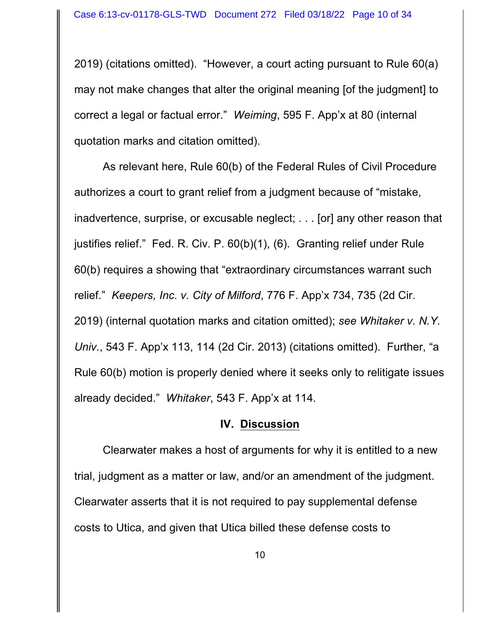2019) (citations omitted). "However, a court acting pursuant to Rule 60(a) may not make changes that alter the original meaning [of the judgment] to correct a legal or factual error." *Weiming*, 595 F. App'x at 80 (internal quotation marks and citation omitted).

As relevant here, Rule 60(b) of the Federal Rules of Civil Procedure authorizes a court to grant relief from a judgment because of "mistake, inadvertence, surprise, or excusable neglect; . . . [or] any other reason that justifies relief." Fed. R. Civ. P. 60(b)(1), (6). Granting relief under Rule 60(b) requires a showing that "extraordinary circumstances warrant such relief." *Keepers, Inc. v. City of Milford*, 776 F. App'x 734, 735 (2d Cir. 2019) (internal quotation marks and citation omitted); *see Whitaker v. N.Y. Univ.*, 543 F. App'x 113, 114 (2d Cir. 2013) (citations omitted). Further, "a Rule 60(b) motion is properly denied where it seeks only to relitigate issues already decided." *Whitaker*, 543 F. App'x at 114.

#### **IV. Discussion**

Clearwater makes a host of arguments for why it is entitled to a new trial, judgment as a matter or law, and/or an amendment of the judgment. Clearwater asserts that it is not required to pay supplemental defense costs to Utica, and given that Utica billed these defense costs to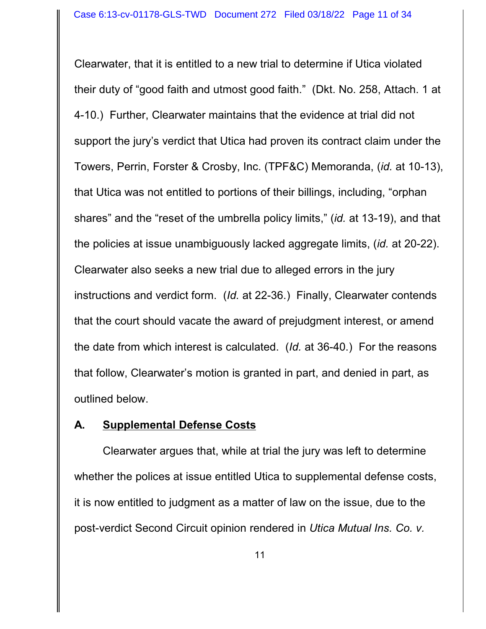Clearwater, that it is entitled to a new trial to determine if Utica violated their duty of "good faith and utmost good faith." (Dkt. No. 258, Attach. 1 at 4-10.) Further, Clearwater maintains that the evidence at trial did not support the jury's verdict that Utica had proven its contract claim under the Towers, Perrin, Forster & Crosby, Inc. (TPF&C) Memoranda, (*id.* at 10-13), that Utica was not entitled to portions of their billings, including, "orphan shares" and the "reset of the umbrella policy limits," (*id.* at 13-19), and that the policies at issue unambiguously lacked aggregate limits, (*id.* at 20-22). Clearwater also seeks a new trial due to alleged errors in the jury instructions and verdict form. (*Id.* at 22-36.) Finally, Clearwater contends that the court should vacate the award of prejudgment interest, or amend the date from which interest is calculated. (*Id.* at 36-40.) For the reasons that follow, Clearwater's motion is granted in part, and denied in part, as outlined below.

## **A. Supplemental Defense Costs**

Clearwater argues that, while at trial the jury was left to determine whether the polices at issue entitled Utica to supplemental defense costs, it is now entitled to judgment as a matter of law on the issue, due to the post-verdict Second Circuit opinion rendered in *Utica Mutual Ins. Co. v.*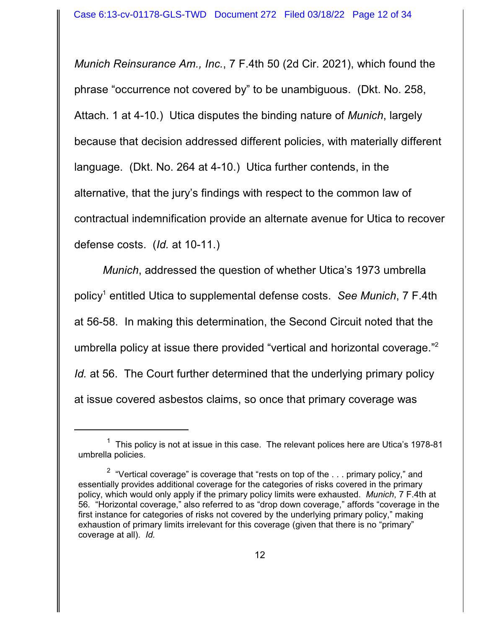*Munich Reinsurance Am., Inc.*, 7 F.4th 50 (2d Cir. 2021), which found the phrase "occurrence not covered by" to be unambiguous. (Dkt. No. 258, Attach. 1 at 4-10.)Utica disputes the binding nature of *Munich*, largely because that decision addressed different policies, with materially different language. (Dkt. No. 264 at 4-10.) Utica further contends, in the alternative, that the jury's findings with respect to the common law of contractual indemnification provide an alternate avenue for Utica to recover defense costs. (*Id.* at 10-11.)

*Munich*, addressed the question of whether Utica's 1973 umbrella policy 1 entitled Utica to supplemental defense costs. *See Munich*, 7 F.4th at 56-58. In making this determination, the Second Circuit noted that the umbrella policy at issue there provided "vertical and horizontal coverage."<sup>2</sup> *Id.* at 56. The Court further determined that the underlying primary policy at issue covered asbestos claims, so once that primary coverage was

 $1$  This policy is not at issue in this case. The relevant polices here are Utica's 1978-81 umbrella policies.

 $^{\text{2}}\,$  "Vertical coverage" is coverage that "rests on top of the  $\ldots$  primary policy," and essentially provides additional coverage for the categories of risks covered in the primary policy, which would only apply if the primary policy limits were exhausted. *Munich*, 7 F.4th at 56*.* "Horizontal coverage," also referred to as "drop down coverage," affords "coverage in the first instance for categories of risks not covered by the underlying primary policy," making exhaustion of primary limits irrelevant for this coverage (given that there is no "primary" coverage at all). *Id.*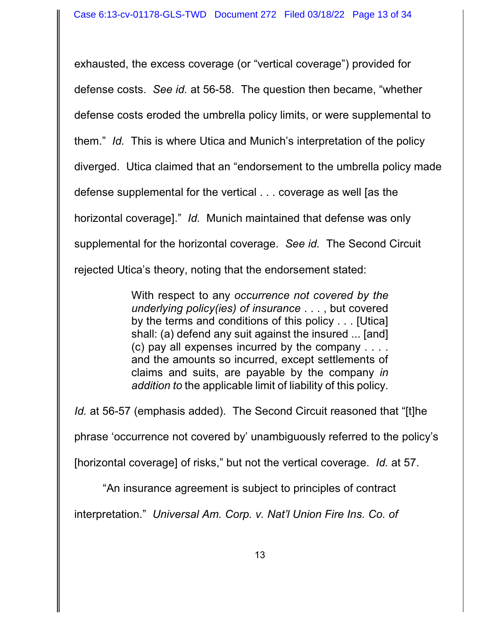exhausted, the excess coverage (or "vertical coverage") provided for defense costs. *See id.* at 56-58. The question then became, "whether defense costs eroded the umbrella policy limits, or were supplemental to them." *Id.* This is where Utica and Munich's interpretation of the policy diverged. Utica claimed that an "endorsement to the umbrella policy made defense supplemental for the vertical . . . coverage as well [as the horizontal coverage]." *Id.* Munich maintained that defense was only supplemental for the horizontal coverage. *See id.* The Second Circuit rejected Utica's theory, noting that the endorsement stated:

> With respect to any *occurrence not covered by the underlying policy(ies) of insurance* . . . , but covered by the terms and conditions of this policy . . . [Utica] shall: (a) defend any suit against the insured ... [and] (c) pay all expenses incurred by the company . . . . and the amounts so incurred, except settlements of claims and suits, are payable by the company *in addition to* the applicable limit of liability of this policy.

*Id.* at 56-57 (emphasis added). The Second Circuit reasoned that "[t]he phrase 'occurrence not covered by' unambiguously referred to the policy's [horizontal coverage] of risks," but not the vertical coverage. *Id.* at 57.

"An insurance agreement is subject to principles of contract

interpretation." *Universal Am. Corp. v. Nat'l Union Fire Ins. Co. of*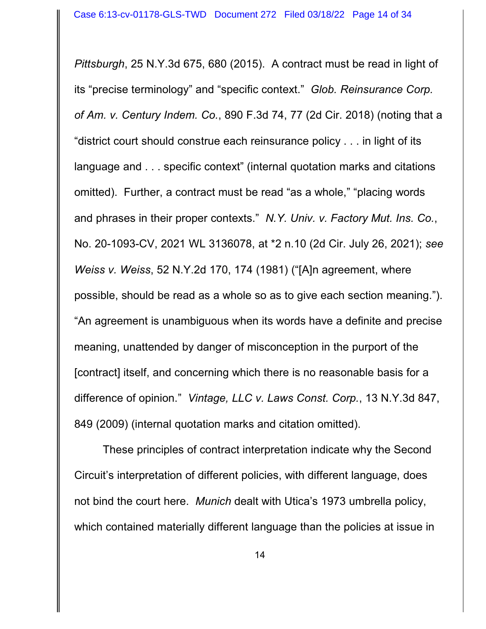*Pittsburgh*, 25 N.Y.3d 675, 680 (2015). A contract must be read in light of its "precise terminology" and "specific context." *Glob. Reinsurance Corp. of Am. v. Century Indem. Co.*, 890 F.3d 74, 77 (2d Cir. 2018) (noting that a "district court should construe each reinsurance policy . . . in light of its language and . . . specific context" (internal quotation marks and citations omitted). Further, a contract must be read "as a whole," "placing words and phrases in their proper contexts." *N.Y. Univ. v. Factory Mut. Ins. Co.*, No. 20-1093-CV, 2021 WL 3136078, at \*2 n.10 (2d Cir. July 26, 2021); *see Weiss v. Weiss*, 52 N.Y.2d 170, 174 (1981) ("[A]n agreement, where possible, should be read as a whole so as to give each section meaning."). "An agreement is unambiguous when its words have a definite and precise meaning, unattended by danger of misconception in the purport of the [contract] itself, and concerning which there is no reasonable basis for a difference of opinion." *Vintage, LLC v. Laws Const. Corp.*, 13 N.Y.3d 847, 849 (2009) (internal quotation marks and citation omitted).

These principles of contract interpretation indicate why the Second Circuit's interpretation of different policies, with different language, does not bind the court here. *Munich* dealt with Utica's 1973 umbrella policy, which contained materially different language than the policies at issue in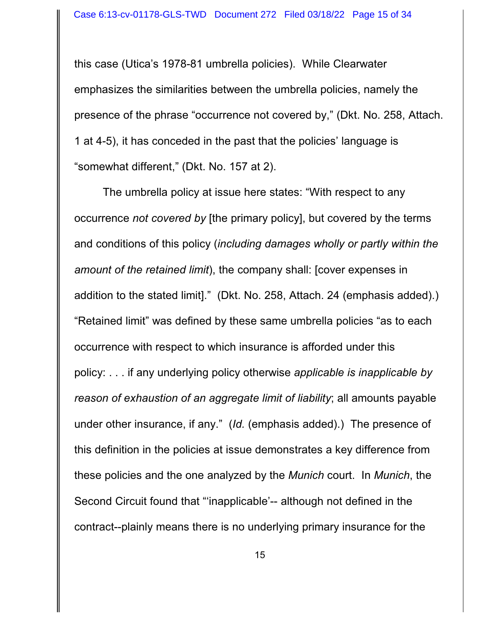this case (Utica's 1978-81 umbrella policies). While Clearwater emphasizes the similarities between the umbrella policies, namely the presence of the phrase "occurrence not covered by," (Dkt. No. 258, Attach. 1 at 4-5), it has conceded in the past that the policies' language is "somewhat different," (Dkt. No. 157 at 2).

The umbrella policy at issue here states: "With respect to any occurrence *not covered by* [the primary policy], but covered by the terms and conditions of this policy (*including damages wholly or partly within the amount of the retained limit*), the company shall: [cover expenses in addition to the stated limit]." (Dkt. No. 258, Attach. 24 (emphasis added).) "Retained limit" was defined by these same umbrella policies "as to each occurrence with respect to which insurance is afforded under this policy: . . . if any underlying policy otherwise *applicable is inapplicable by reason of exhaustion of an aggregate limit of liability*; all amounts payable under other insurance, if any." (*Id.* (emphasis added).) The presence of this definition in the policies at issue demonstrates a key difference from these policies and the one analyzed by the *Munich* court. In *Munich*, the Second Circuit found that "'inapplicable'-- although not defined in the contract--plainly means there is no underlying primary insurance for the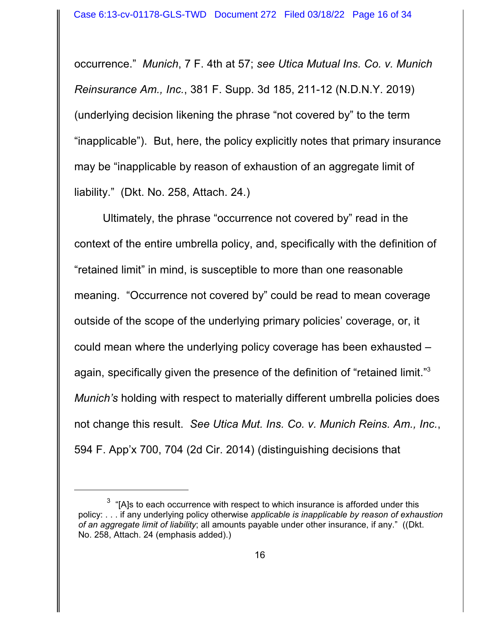occurrence." *Munich*, 7 F. 4th at 57; *see Utica Mutual Ins. Co. v. Munich Reinsurance Am., Inc.*, 381 F. Supp. 3d 185, 211-12 (N.D.N.Y. 2019) (underlying decision likening the phrase "not covered by" to the term "inapplicable"). But, here, the policy explicitly notes that primary insurance may be "inapplicable by reason of exhaustion of an aggregate limit of liability." (Dkt. No. 258, Attach. 24.)

Ultimately, the phrase "occurrence not covered by" read in the context of the entire umbrella policy, and, specifically with the definition of "retained limit" in mind, is susceptible to more than one reasonable meaning. "Occurrence not covered by" could be read to mean coverage outside of the scope of the underlying primary policies' coverage, or, it could mean where the underlying policy coverage has been exhausted – again, specifically given the presence of the definition of "retained limit."<sup>3</sup> *Munich's* holding with respect to materially different umbrella policies does not change this result. *See Utica Mut. Ins. Co. v. Munich Reins. Am., Inc.*, 594 F. App'x 700, 704 (2d Cir. 2014) (distinguishing decisions that

 $^3$  "[A]s to each occurrence with respect to which insurance is afforded under this policy: . . . if any underlying policy otherwise *applicable is inapplicable by reason of exhaustion of an aggregate limit of liability*; all amounts payable under other insurance, if any." ((Dkt. No. 258, Attach. 24 (emphasis added).)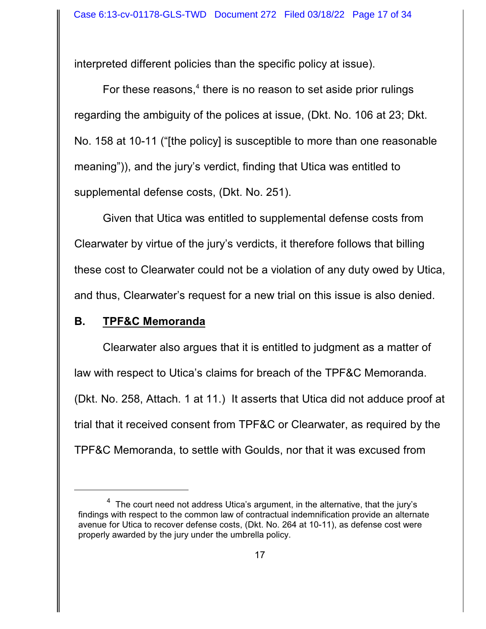interpreted different policies than the specific policy at issue).

For these reasons,<sup>4</sup> there is no reason to set aside prior rulings regarding the ambiguity of the polices at issue, (Dkt. No. 106 at 23; Dkt. No. 158 at 10-11 ("[the policy] is susceptible to more than one reasonable meaning")), and the jury's verdict, finding that Utica was entitled to supplemental defense costs, (Dkt. No. 251).

Given that Utica was entitled to supplemental defense costs from Clearwater by virtue of the jury's verdicts, it therefore follows that billing these cost to Clearwater could not be a violation of any duty owed by Utica, and thus, Clearwater's request for a new trial on this issue is also denied.

## **B. TPF&C Memoranda**

Clearwater also argues that it is entitled to judgment as a matter of law with respect to Utica's claims for breach of the TPF&C Memoranda. (Dkt. No. 258, Attach. 1 at 11.) It asserts that Utica did not adduce proof at trial that it received consent from TPF&C or Clearwater, as required by the TPF&C Memoranda, to settle with Goulds, nor that it was excused from

 $^4\,$  The court need not address Utica's argument, in the alternative, that the jury's findings with respect to the common law of contractual indemnification provide an alternate avenue for Utica to recover defense costs, (Dkt. No. 264 at 10-11), as defense cost were properly awarded by the jury under the umbrella policy.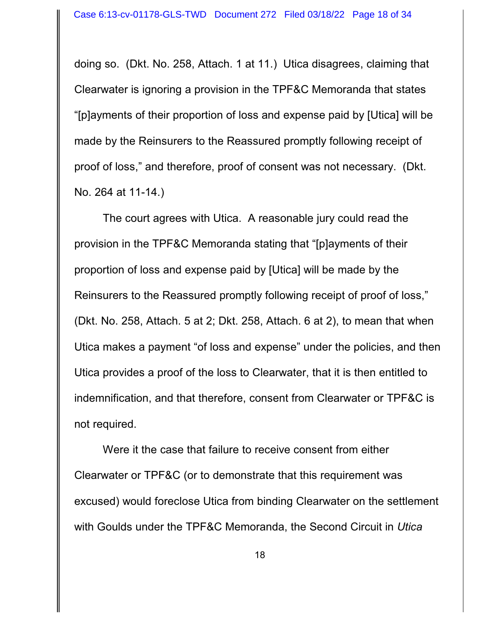doing so. (Dkt. No. 258, Attach. 1 at 11.) Utica disagrees, claiming that Clearwater is ignoring a provision in the TPF&C Memoranda that states "[p]ayments of their proportion of loss and expense paid by [Utica] will be made by the Reinsurers to the Reassured promptly following receipt of proof of loss," and therefore, proof of consent was not necessary. (Dkt. No. 264 at 11-14.)

The court agrees with Utica. A reasonable jury could read the provision in the TPF&C Memoranda stating that "[p]ayments of their proportion of loss and expense paid by [Utica] will be made by the Reinsurers to the Reassured promptly following receipt of proof of loss," (Dkt. No. 258, Attach. 5 at 2; Dkt. 258, Attach. 6 at 2), to mean that when Utica makes a payment "of loss and expense" under the policies, and then Utica provides a proof of the loss to Clearwater, that it is then entitled to indemnification, and that therefore, consent from Clearwater or TPF&C is not required.

Were it the case that failure to receive consent from either Clearwater or TPF&C (or to demonstrate that this requirement was excused) would foreclose Utica from binding Clearwater on the settlement with Goulds under the TPF&C Memoranda, the Second Circuit in *Utica*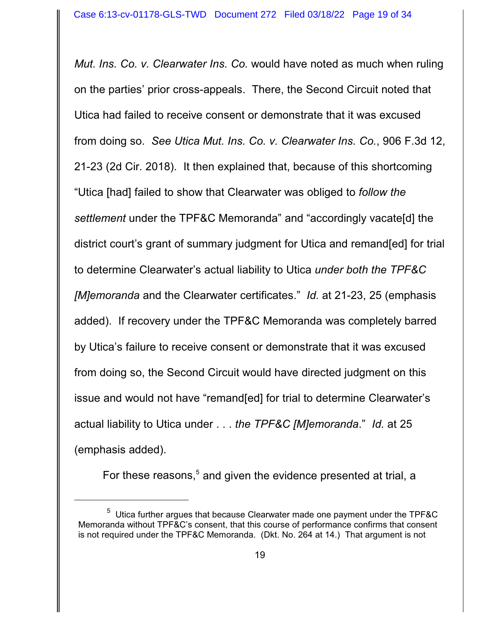*Mut. Ins. Co. v. Clearwater Ins. Co.* would have noted as much when ruling on the parties' prior cross-appeals. There, the Second Circuit noted that Utica had failed to receive consent or demonstrate that it was excused from doing so. *See Utica Mut. Ins. Co. v. Clearwater Ins. Co.*, 906 F.3d 12, 21-23 (2d Cir. 2018). It then explained that, because of this shortcoming "Utica [had] failed to show that Clearwater was obliged to *follow the settlement* under the TPF&C Memoranda" and "accordingly vacate[d] the district court's grant of summary judgment for Utica and remand[ed] for trial to determine Clearwater's actual liability to Utica *under both the TPF&C [M]emoranda* and the Clearwater certificates." *Id.* at 21-23, 25 (emphasis added). If recovery under the TPF&C Memoranda was completely barred by Utica's failure to receive consent or demonstrate that it was excused from doing so, the Second Circuit would have directed judgment on this issue and would not have "remand[ed] for trial to determine Clearwater's actual liability to Utica under . . . *the TPF&C [M]emoranda*." *Id.* at 25 (emphasis added).

For these reasons,<sup>5</sup> and given the evidence presented at trial, a

 $5$  Utica further argues that because Clearwater made one payment under the TPF&C Memoranda without TPF&C's consent, that this course of performance confirms that consent is not required under the TPF&C Memoranda. (Dkt. No. 264 at 14.) That argument is not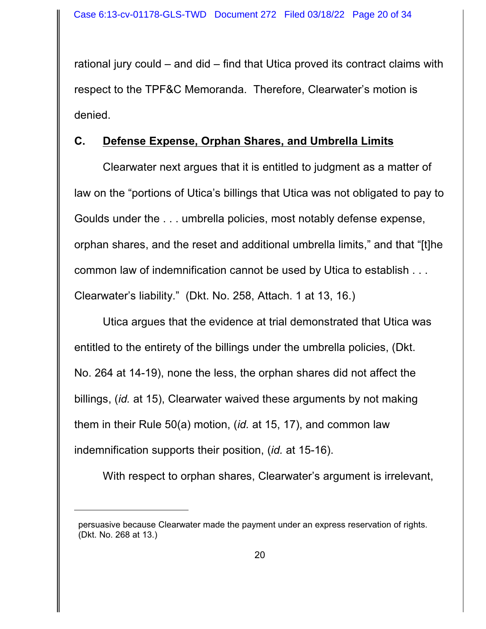rational jury could – and did – find that Utica proved its contract claims with respect to the TPF&C Memoranda. Therefore, Clearwater's motion is denied.

# **C. Defense Expense, Orphan Shares, and Umbrella Limits**

Clearwater next argues that it is entitled to judgment as a matter of law on the "portions of Utica's billings that Utica was not obligated to pay to Goulds under the . . . umbrella policies, most notably defense expense, orphan shares, and the reset and additional umbrella limits," and that "[t]he common law of indemnification cannot be used by Utica to establish . . . Clearwater's liability." (Dkt. No. 258, Attach. 1 at 13, 16.)

Utica argues that the evidence at trial demonstrated that Utica was entitled to the entirety of the billings under the umbrella policies, (Dkt. No. 264 at 14-19), none the less, the orphan shares did not affect the billings, (*id.* at 15), Clearwater waived these arguments by not making them in their Rule 50(a) motion, (*id.* at 15, 17), and common law indemnification supports their position, (*id.* at 15-16).

With respect to orphan shares, Clearwater's argument is irrelevant,

persuasive because Clearwater made the payment under an express reservation of rights. (Dkt. No. 268 at 13.)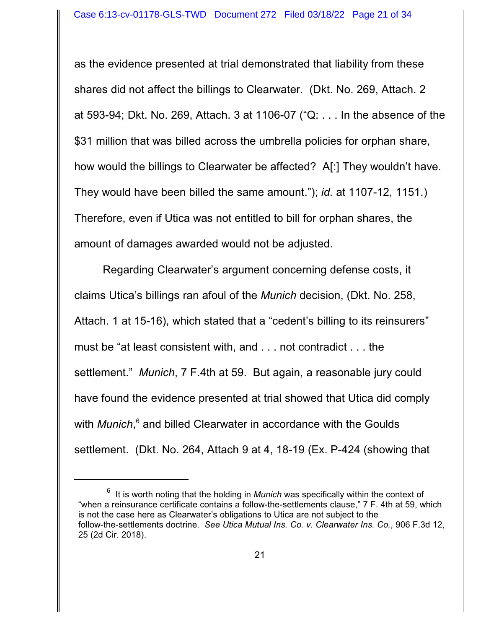as the evidence presented at trial demonstrated that liability from these shares did not affect the billings to Clearwater. (Dkt. No. 269, Attach. 2 at 593-94; Dkt. No. 269, Attach. 3 at 1106-07 ("Q: . . . In the absence of the \$31 million that was billed across the umbrella policies for orphan share, how would the billings to Clearwater be affected? A[:] They wouldn't have. They would have been billed the same amount."); *id.* at 1107-12, 1151.) Therefore, even if Utica was not entitled to bill for orphan shares, the amount of damages awarded would not be adjusted.

Regarding Clearwater's argument concerning defense costs, it claims Utica's billings ran afoul of the *Munich* decision, (Dkt. No. 258, Attach. 1 at 15-16), which stated that a "cedent's billing to its reinsurers" must be "at least consistent with, and . . . not contradict . . . the settlement." *Munich*, 7 F.4th at 59. But again, a reasonable jury could have found the evidence presented at trial showed that Utica did comply with *Munich*, 6 and billed Clearwater in accordance with the Goulds settlement. (Dkt. No. 264, Attach 9 at 4, 18-19 (Ex. P-424 (showing that

<sup>6</sup> It is worth noting that the holding in *Munich* was specifically within the context of "when a reinsurance certificate contains a follow-the-settlements clause," 7 F. 4th at 59, which is not the case here as Clearwater's obligations to Utica are not subject to the follow-the-settlements doctrine. *See Utica Mutual Ins. Co. v. Clearwater Ins. Co.*, 906 F.3d 12, 25 (2d Cir. 2018).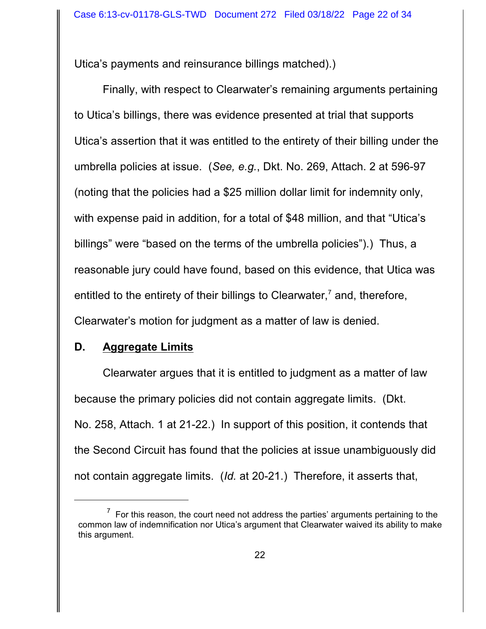Utica's payments and reinsurance billings matched).)

Finally, with respect to Clearwater's remaining arguments pertaining to Utica's billings, there was evidence presented at trial that supports Utica's assertion that it was entitled to the entirety of their billing under the umbrella policies at issue. (*See, e.g.*, Dkt. No. 269, Attach. 2 at 596-97 (noting that the policies had a \$25 million dollar limit for indemnity only, with expense paid in addition, for a total of \$48 million, and that "Utica's billings" were "based on the terms of the umbrella policies").) Thus, a reasonable jury could have found, based on this evidence, that Utica was entitled to the entirety of their billings to Clearwater, $7$  and, therefore, Clearwater's motion for judgment as a matter of law is denied.

## **D. Aggregate Limits**

Clearwater argues that it is entitled to judgment as a matter of law because the primary policies did not contain aggregate limits. (Dkt. No. 258, Attach. 1 at 21-22.) In support of this position, it contends that the Second Circuit has found that the policies at issue unambiguously did not contain aggregate limits. (*Id.* at 20-21.) Therefore, it asserts that,

 $7$  For this reason, the court need not address the parties' arguments pertaining to the common law of indemnification nor Utica's argument that Clearwater waived its ability to make this argument.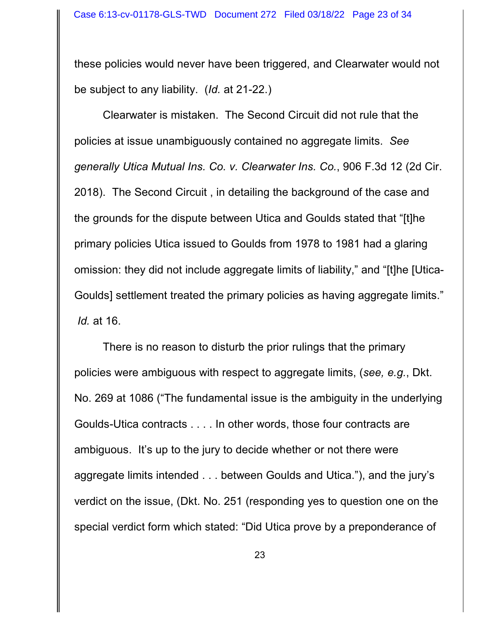these policies would never have been triggered, and Clearwater would not be subject to any liability. (*Id.* at 21-22.)

Clearwater is mistaken. The Second Circuit did not rule that the policies at issue unambiguously contained no aggregate limits. *See generally Utica Mutual Ins. Co. v. Clearwater Ins. Co.*, 906 F.3d 12 (2d Cir. 2018). The Second Circuit , in detailing the background of the case and the grounds for the dispute between Utica and Goulds stated that "[t]he primary policies Utica issued to Goulds from 1978 to 1981 had a glaring omission: they did not include aggregate limits of liability," and "[t]he [Utica-Goulds] settlement treated the primary policies as having aggregate limits." *Id.* at 16.

There is no reason to disturb the prior rulings that the primary policies were ambiguous with respect to aggregate limits, (*see, e.g.*, Dkt. No. 269 at 1086 ("The fundamental issue is the ambiguity in the underlying Goulds-Utica contracts . . . . In other words, those four contracts are ambiguous. It's up to the jury to decide whether or not there were aggregate limits intended . . . between Goulds and Utica."), and the jury's verdict on the issue, (Dkt. No. 251 (responding yes to question one on the special verdict form which stated: "Did Utica prove by a preponderance of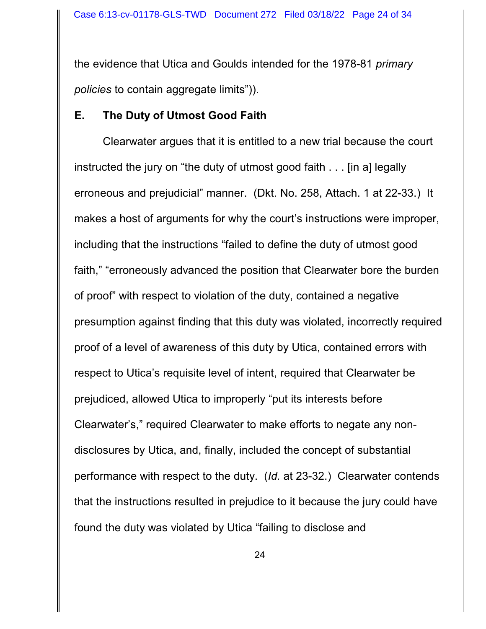the evidence that Utica and Goulds intended for the 1978-81 *primary policies* to contain aggregate limits")).

## **E. The Duty of Utmost Good Faith**

Clearwater argues that it is entitled to a new trial because the court instructed the jury on "the duty of utmost good faith . . . [in a] legally erroneous and prejudicial" manner. (Dkt. No. 258, Attach. 1 at 22-33.) It makes a host of arguments for why the court's instructions were improper, including that the instructions "failed to define the duty of utmost good faith," "erroneously advanced the position that Clearwater bore the burden of proof" with respect to violation of the duty, contained a negative presumption against finding that this duty was violated, incorrectly required proof of a level of awareness of this duty by Utica, contained errors with respect to Utica's requisite level of intent, required that Clearwater be prejudiced, allowed Utica to improperly "put its interests before Clearwater's," required Clearwater to make efforts to negate any nondisclosures by Utica, and, finally, included the concept of substantial performance with respect to the duty. (*Id.* at 23-32.) Clearwater contends that the instructions resulted in prejudice to it because the jury could have found the duty was violated by Utica "failing to disclose and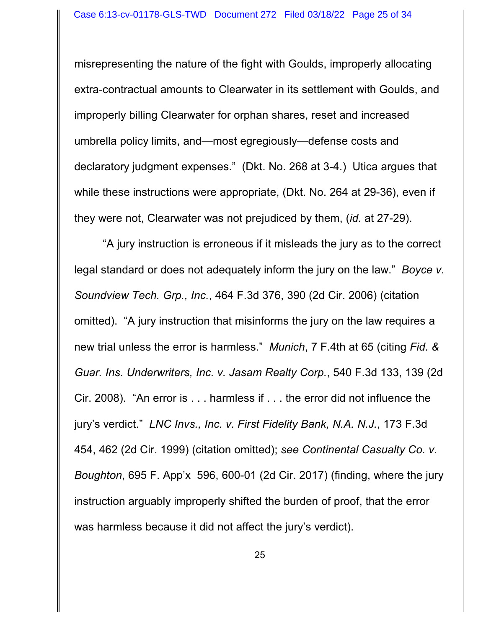misrepresenting the nature of the fight with Goulds, improperly allocating extra-contractual amounts to Clearwater in its settlement with Goulds, and improperly billing Clearwater for orphan shares, reset and increased umbrella policy limits, and—most egregiously—defense costs and declaratory judgment expenses." (Dkt. No. 268 at 3-4.) Utica argues that while these instructions were appropriate, (Dkt. No. 264 at 29-36), even if they were not, Clearwater was not prejudiced by them, (*id.* at 27-29).

"A jury instruction is erroneous if it misleads the jury as to the correct legal standard or does not adequately inform the jury on the law." *Boyce v. Soundview Tech. Grp., Inc.*, 464 F.3d 376, 390 (2d Cir. 2006) (citation omitted). "A jury instruction that misinforms the jury on the law requires a new trial unless the error is harmless." *Munich*, 7 F.4th at 65 (citing *Fid. & Guar. Ins. Underwriters, Inc. v. Jasam Realty Corp.*, 540 F.3d 133, 139 (2d Cir. 2008). "An error is . . . harmless if . . . the error did not influence the jury's verdict." *LNC Invs., Inc. v. First Fidelity Bank, N.A. N.J.*, 173 F.3d 454, 462 (2d Cir. 1999) (citation omitted); *see Continental Casualty Co. v. Boughton*, 695 F. App'x 596, 600-01 (2d Cir. 2017) (finding, where the jury instruction arguably improperly shifted the burden of proof, that the error was harmless because it did not affect the jury's verdict).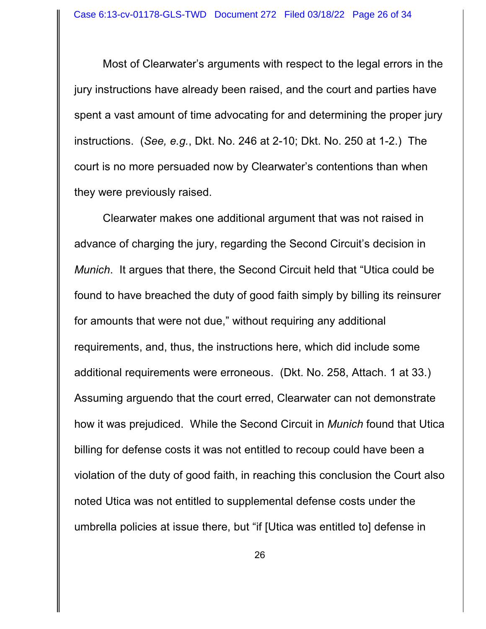Most of Clearwater's arguments with respect to the legal errors in the jury instructions have already been raised, and the court and parties have spent a vast amount of time advocating for and determining the proper jury instructions. (*See, e.g.*, Dkt. No. 246 at 2-10; Dkt. No. 250 at 1-2.) The court is no more persuaded now by Clearwater's contentions than when they were previously raised.

Clearwater makes one additional argument that was not raised in advance of charging the jury, regarding the Second Circuit's decision in *Munich*. It argues that there, the Second Circuit held that "Utica could be found to have breached the duty of good faith simply by billing its reinsurer for amounts that were not due," without requiring any additional requirements, and, thus, the instructions here, which did include some additional requirements were erroneous. (Dkt. No. 258, Attach. 1 at 33.) Assuming arguendo that the court erred, Clearwater can not demonstrate how it was prejudiced. While the Second Circuit in *Munich* found that Utica billing for defense costs it was not entitled to recoup could have been a violation of the duty of good faith, in reaching this conclusion the Court also noted Utica was not entitled to supplemental defense costs under the umbrella policies at issue there, but "if [Utica was entitled to] defense in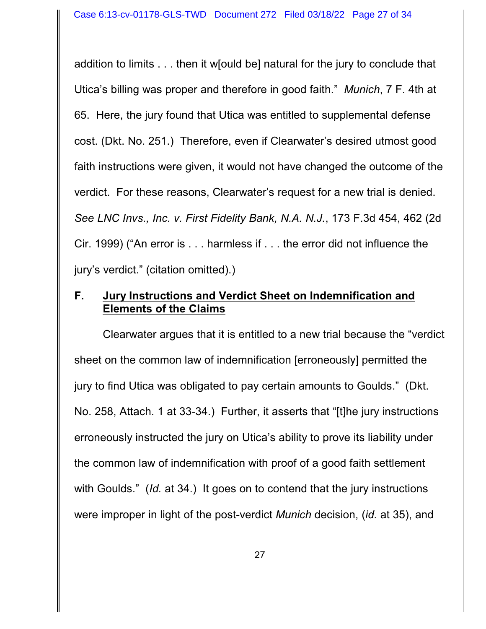addition to limits . . . then it w[ould be] natural for the jury to conclude that Utica's billing was proper and therefore in good faith." *Munich*, 7 F. 4th at 65. Here, the jury found that Utica was entitled to supplemental defense cost. (Dkt. No. 251.) Therefore, even if Clearwater's desired utmost good faith instructions were given, it would not have changed the outcome of the verdict. For these reasons, Clearwater's request for a new trial is denied. *See LNC Invs., Inc. v. First Fidelity Bank, N.A. N.J.*, 173 F.3d 454, 462 (2d Cir. 1999) ("An error is . . . harmless if . . . the error did not influence the jury's verdict." (citation omitted).)

# **F. Jury Instructions and Verdict Sheet on Indemnification and Elements of the Claims**

Clearwater argues that it is entitled to a new trial because the "verdict sheet on the common law of indemnification [erroneously] permitted the jury to find Utica was obligated to pay certain amounts to Goulds." (Dkt. No. 258, Attach. 1 at 33-34.) Further, it asserts that "[t]he jury instructions erroneously instructed the jury on Utica's ability to prove its liability under the common law of indemnification with proof of a good faith settlement with Goulds." (*Id.* at 34.) It goes on to contend that the jury instructions were improper in light of the post-verdict *Munich* decision, (*id.* at 35), and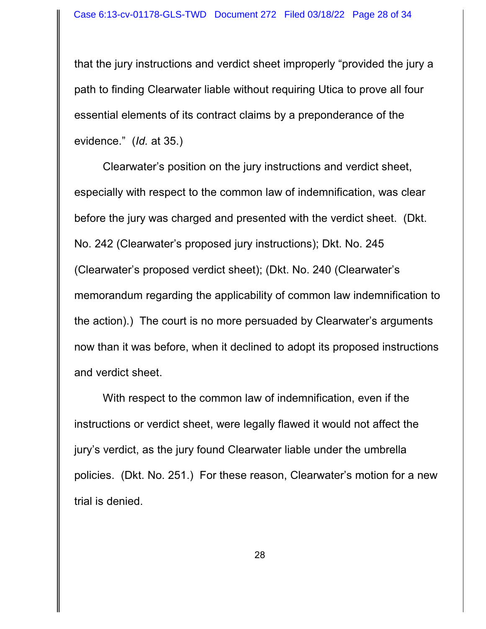that the jury instructions and verdict sheet improperly "provided the jury a path to finding Clearwater liable without requiring Utica to prove all four essential elements of its contract claims by a preponderance of the evidence." (*Id.* at 35.)

Clearwater's position on the jury instructions and verdict sheet, especially with respect to the common law of indemnification, was clear before the jury was charged and presented with the verdict sheet. (Dkt. No. 242 (Clearwater's proposed jury instructions); Dkt. No. 245 (Clearwater's proposed verdict sheet); (Dkt. No. 240 (Clearwater's memorandum regarding the applicability of common law indemnification to the action).) The court is no more persuaded by Clearwater's arguments now than it was before, when it declined to adopt its proposed instructions and verdict sheet.

With respect to the common law of indemnification, even if the instructions or verdict sheet, were legally flawed it would not affect the jury's verdict, as the jury found Clearwater liable under the umbrella policies. (Dkt. No. 251.)For these reason, Clearwater's motion for a new trial is denied.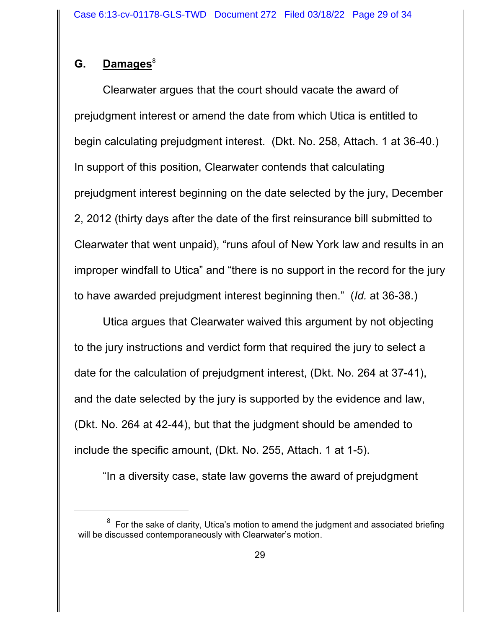# G. **Damages**<sup>8</sup>

Clearwater argues that the court should vacate the award of prejudgment interest or amend the date from which Utica is entitled to begin calculating prejudgment interest. (Dkt. No. 258, Attach. 1 at 36-40.) In support of this position, Clearwater contends that calculating prejudgment interest beginning on the date selected by the jury, December 2, 2012 (thirty days after the date of the first reinsurance bill submitted to Clearwater that went unpaid), "runs afoul of New York law and results in an improper windfall to Utica" and "there is no support in the record for the jury to have awarded prejudgment interest beginning then." (*Id.* at 36-38.)

Utica argues that Clearwater waived this argument by not objecting to the jury instructions and verdict form that required the jury to select a date for the calculation of prejudgment interest, (Dkt. No. 264 at 37-41), and the date selected by the jury is supported by the evidence and law, (Dkt. No. 264 at 42-44), but that the judgment should be amended to include the specific amount, (Dkt. No. 255, Attach. 1 at 1-5).

"In a diversity case, state law governs the award of prejudgment

 $^{\rm 8}$  For the sake of clarity, Utica's motion to amend the judgment and associated briefing will be discussed contemporaneously with Clearwater's motion.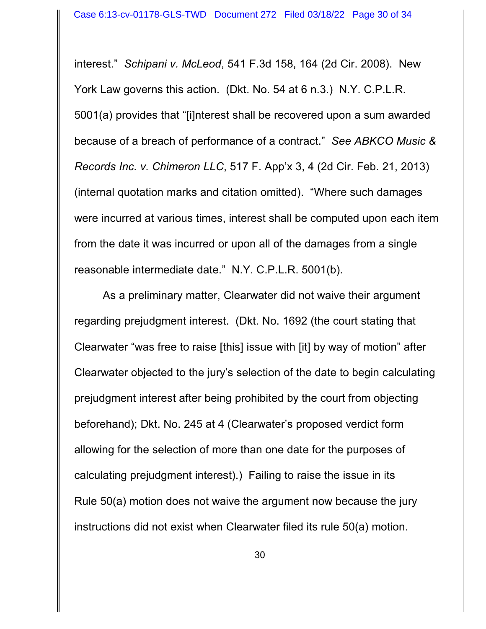interest." *Schipani v. McLeod*, 541 F.3d 158, 164 (2d Cir. 2008). New York Law governs this action. (Dkt. No. 54 at 6 n.3.) N.Y. C.P.L.R. 5001(a) provides that "[i]nterest shall be recovered upon a sum awarded because of a breach of performance of a contract." *See ABKCO Music & Records Inc. v. Chimeron LLC*, 517 F. App'x 3, 4 (2d Cir. Feb. 21, 2013) (internal quotation marks and citation omitted). "Where such damages were incurred at various times, interest shall be computed upon each item from the date it was incurred or upon all of the damages from a single reasonable intermediate date." N.Y. C.P.L.R. 5001(b).

As a preliminary matter, Clearwater did not waive their argument regarding prejudgment interest. (Dkt. No. 1692 (the court stating that Clearwater "was free to raise [this] issue with [it] by way of motion" after Clearwater objected to the jury's selection of the date to begin calculating prejudgment interest after being prohibited by the court from objecting beforehand); Dkt. No. 245 at 4 (Clearwater's proposed verdict form allowing for the selection of more than one date for the purposes of calculating prejudgment interest).) Failing to raise the issue in its Rule 50(a) motion does not waive the argument now because the jury instructions did not exist when Clearwater filed its rule 50(a) motion.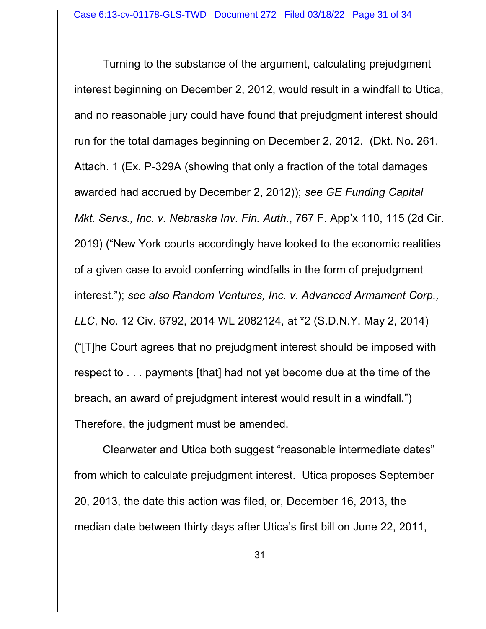Turning to the substance of the argument, calculating prejudgment interest beginning on December 2, 2012, would result in a windfall to Utica, and no reasonable jury could have found that prejudgment interest should run for the total damages beginning on December 2, 2012. (Dkt. No. 261, Attach. 1 (Ex. P-329A (showing that only a fraction of the total damages awarded had accrued by December 2, 2012)); *see GE Funding Capital Mkt. Servs., Inc. v. Nebraska Inv. Fin. Auth.*, 767 F. App'x 110, 115 (2d Cir. 2019) ("New York courts accordingly have looked to the economic realities of a given case to avoid conferring windfalls in the form of prejudgment interest."); *see also Random Ventures, Inc. v. Advanced Armament Corp., LLC*, No. 12 Civ. 6792, 2014 WL 2082124, at \*2 (S.D.N.Y. May 2, 2014) ("[T]he Court agrees that no prejudgment interest should be imposed with respect to . . . payments [that] had not yet become due at the time of the breach, an award of prejudgment interest would result in a windfall.") Therefore, the judgment must be amended.

Clearwater and Utica both suggest "reasonable intermediate dates" from which to calculate prejudgment interest. Utica proposes September 20, 2013, the date this action was filed, or, December 16, 2013, the median date between thirty days after Utica's first bill on June 22, 2011,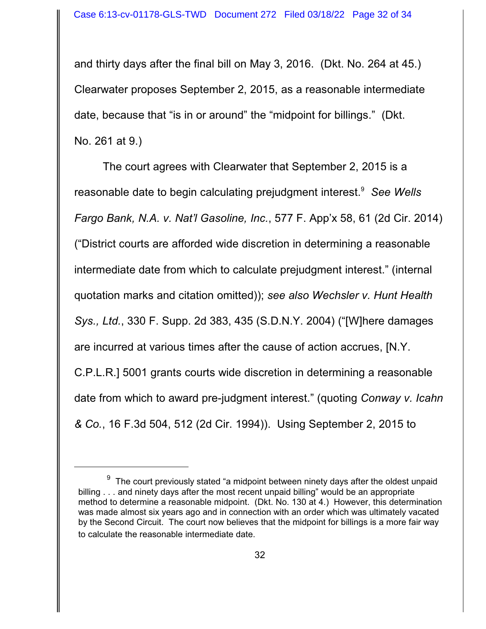and thirty days after the final bill on May 3, 2016. (Dkt. No. 264 at 45.) Clearwater proposes September 2, 2015, as a reasonable intermediate date, because that "is in or around" the "midpoint for billings." (Dkt. No. 261 at 9.)

The court agrees with Clearwater that September 2, 2015 is a reasonable date to begin calculating prejudgment interest. <sup>9</sup> *See Wells Fargo Bank, N.A. v. Nat'l Gasoline, Inc.*, 577 F. App'x 58, 61 (2d Cir. 2014) ("District courts are afforded wide discretion in determining a reasonable intermediate date from which to calculate prejudgment interest." (internal quotation marks and citation omitted)); *see also Wechsler v. Hunt Health Sys., Ltd.*, 330 F. Supp. 2d 383, 435 (S.D.N.Y. 2004) ("[W]here damages are incurred at various times after the cause of action accrues, [N.Y. C.P.L.R.] 5001 grants courts wide discretion in determining a reasonable date from which to award pre-judgment interest." (quoting *Conway v. Icahn & Co.*, 16 F.3d 504, 512 (2d Cir. 1994)). Using September 2, 2015 to

 $^9$  The court previously stated "a midpoint between ninety days after the oldest unpaid billing . . . and ninety days after the most recent unpaid billing" would be an appropriate method to determine a reasonable midpoint. (Dkt. No. 130 at 4.) However, this determination was made almost six years ago and in connection with an order which was ultimately vacated by the Second Circuit. The court now believes that the midpoint for billings is a more fair way to calculate the reasonable intermediate date.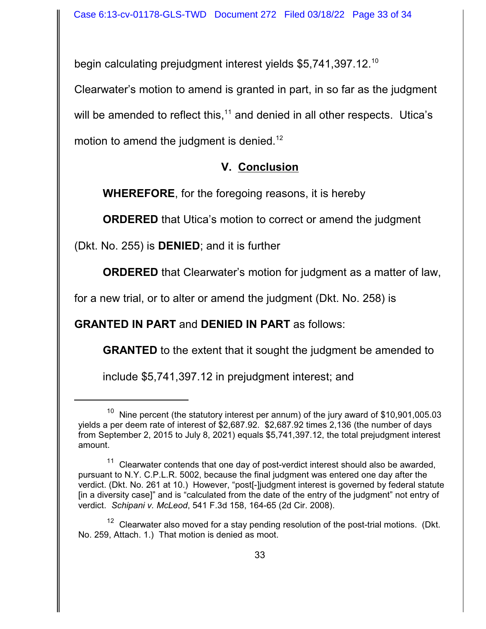begin calculating prejudgment interest yields \$5,741,397.12.<sup>10</sup>

Clearwater's motion to amend is granted in part, in so far as the judgment will be amended to reflect this,<sup>11</sup> and denied in all other respects. Utica's motion to amend the judgment is denied.<sup>12</sup>

# **V. Conclusion**

**WHEREFORE**, for the foregoing reasons, it is hereby

**ORDERED** that Utica's motion to correct or amend the judgment

(Dkt. No. 255) is **DENIED**; and it is further

**ORDERED** that Clearwater's motion for judgment as a matter of law,

for a new trial, or to alter or amend the judgment (Dkt. No. 258) is

# **GRANTED IN PART** and **DENIED IN PART** as follows:

**GRANTED** to the extent that it sought the judgment be amended to

include \$5,741,397.12 in prejudgment interest; and

Nine percent (the statutory interest per annum) of the jury award of \$10,901,005.03 yields a per deem rate of interest of \$2,687.92. \$2,687.92 times 2,136 (the number of days from September 2, 2015 to July 8, 2021) equals \$5,741,397.12, the total prejudgment interest amount.

 $11$  Clearwater contends that one day of post-verdict interest should also be awarded, pursuant to N.Y. C.P.L.R. 5002, because the final judgment was entered one day after the verdict. (Dkt. No. 261 at 10.) However, "post[-]judgment interest is governed by federal statute [in a diversity case]" and is "calculated from the date of the entry of the judgment" not entry of verdict. *Schipani v. McLeod*, 541 F.3d 158, 164-65 (2d Cir. 2008).

 $12$  Clearwater also moved for a stay pending resolution of the post-trial motions. (Dkt. No. 259, Attach. 1.) That motion is denied as moot.